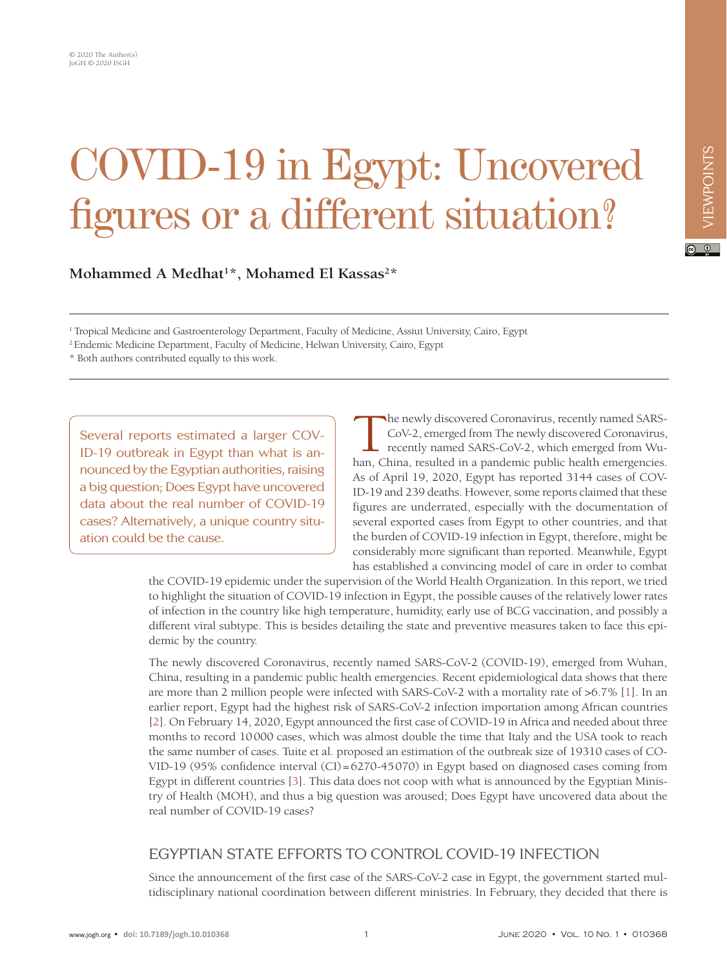# COVID-19 in Egypt: Uncovered figures or a different situation?

Mohammed A Medhat<sup>1\*</sup>, Mohamed El Kassas<sup>2\*</sup>

1 Tropical Medicine and Gastroenterology Department, Faculty of Medicine, Assiut University, Cairo, Egypt

2 Endemic Medicine Department, Faculty of Medicine, Helwan University, Cairo, Egypt

\* Both authors contributed equally to this work.

Several reports estimated a larger COV-ID-19 outbreak in Egypt than what is announced by the Egyptian authorities, raising a big question; Does Egypt have uncovered data about the real number of COVID-19 cases? Alternatively, a unique country situation could be the cause.

The newly discovered Coronavirus, recently named SARS-CoV-2, emerged from The newly discovered Coronavirus, recently named SARS-CoV-2, which emerged from Wuhan, China, resulted in a pandemic public health emergencies. As of April 19, 2020, Egypt has reported 3144 cases of COV-ID-19 and 239 deaths. However, some reports claimed that these figures are underrated, especially with the documentation of several exported cases from Egypt to other countries, and that the burden of COVID-19 infection in Egypt, therefore, might be considerably more significant than reported. Meanwhile, Egypt has established a convincing model of care in order to combat

the COVID-19 epidemic under the supervision of the World Health Organization. In this report, we tried to highlight the situation of COVID-19 infection in Egypt, the possible causes of the relatively lower rates of infection in the country like high temperature, humidity, early use of BCG vaccination, and possibly a different viral subtype. This is besides detailing the state and preventive measures taken to face this epidemic by the country.

The newly discovered Coronavirus, recently named SARS-CoV-2 (COVID-19), emerged from Wuhan, China, resulting in a pandemic public health emergencies. Recent epidemiological data shows that there are more than 2 million people were infected with SARS-CoV-2 with a mortality rate of >6.7% [\[1](#page-3-0)]. In an earlier report, Egypt had the highest risk of SARS-CoV-2 infection importation among African countries [\[2\]](#page-3-1). On February 14, 2020, Egypt announced the first case of COVID-19 in Africa and needed about three months to record 10000 cases, which was almost double the time that Italy and the USA took to reach the same number of cases. Tuite et al. proposed an estimation of the outbreak size of 19310 cases of CO-VID-19 (95% confidence interval (CI)=6270-45070) in Egypt based on diagnosed cases coming from Egypt in different countries [\[3\]](#page-3-2). This data does not coop with what is announced by the Egyptian Ministry of Health (MOH), and thus a big question was aroused; Does Egypt have uncovered data about the real number of COVID-19 cases?

# EGYPTIAN STATE EFFORTS TO CONTROL COVID-19 INFECTION

Since the announcement of the first case of the SARS-CoV-2 case in Egypt, the government started multidisciplinary national coordination between different ministries. In February, they decided that there is  $\boxed{6}$  0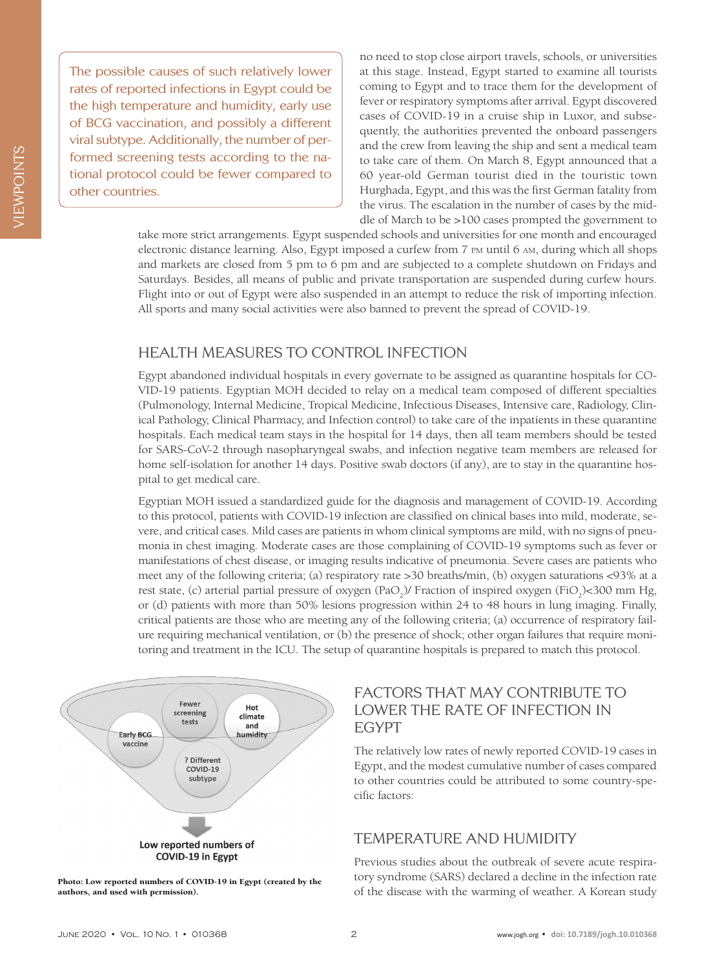The possible causes of such relatively lower rates of reported infections in Egypt could be the high temperature and humidity, early use of BCG vaccination, and possibly a different viral subtype. Additionally, the number of performed screening tests according to the national protocol could be fewer compared to other countries.

no need to stop close airport travels, schools, or universities at this stage. Instead, Egypt started to examine all tourists coming to Egypt and to trace them for the development of fever or respiratory symptoms after arrival. Egypt discovered cases of COVID-19 in a cruise ship in Luxor, and subsequently, the authorities prevented the onboard passengers and the crew from leaving the ship and sent a medical team to take care of them. On March 8, Egypt announced that a 60 year-old German tourist died in the touristic town Hurghada, Egypt, and this was the first German fatality from the virus. The escalation in the number of cases by the middle of March to be >100 cases prompted the government to

take more strict arrangements. Egypt suspended schools and universities for one month and encouraged electronic distance learning. Also, Egypt imposed a curfew from 7 pm until 6 am, during which all shops and markets are closed from 5 pm to 6 pm and are subjected to a complete shutdown on Fridays and Saturdays. Besides, all means of public and private transportation are suspended during curfew hours. Flight into or out of Egypt were also suspended in an attempt to reduce the risk of importing infection. All sports and many social activities were also banned to prevent the spread of COVID-19.

#### HEALTH MEASURES TO CONTROL INFECTION

Egypt abandoned individual hospitals in every governate to be assigned as quarantine hospitals for CO-VID-19 patients. Egyptian MOH decided to relay on a medical team composed of different specialties (Pulmonology, Internal Medicine, Tropical Medicine, Infectious Diseases, Intensive care, Radiology, Clinical Pathology, Clinical Pharmacy, and Infection control) to take care of the inpatients in these quarantine hospitals. Each medical team stays in the hospital for 14 days, then all team members should be tested for SARS-CoV-2 through nasopharyngeal swabs, and infection negative team members are released for home self-isolation for another 14 days. Positive swab doctors (if any), are to stay in the quarantine hospital to get medical care.

Egyptian MOH issued a standardized guide for the diagnosis and management of COVID-19. According to this protocol, patients with COVID-19 infection are classified on clinical bases into mild, moderate, severe, and critical cases. Mild cases are patients in whom clinical symptoms are mild, with no signs of pneumonia in chest imaging. Moderate cases are those complaining of COVID-19 symptoms such as fever or manifestations of chest disease, or imaging results indicative of pneumonia. Severe cases are patients who meet any of the following criteria; (a) respiratory rate >30 breaths/min, (b) oxygen saturations <93% at a rest state, (c) arterial partial pressure of oxygen (PaO<sub>2</sub>)/ Fraction of inspired oxygen (FiO<sub>2</sub>)<300 mm Hg, or (d) patients with more than 50% lesions progression within 24 to 48 hours in lung imaging. Finally, critical patients are those who are meeting any of the following criteria; (a) occurrence of respiratory failure requiring mechanical ventilation, or (b) the presence of shock; other organ failures that require monitoring and treatment in the ICU. The setup of quarantine hospitals is prepared to match this protocol.





# FACTORS THAT MAY CONTRIBUTE TO LOWER THE RATE OF INFECTION IN EGYPT

The relatively low rates of newly reported COVID-19 cases in Egypt, and the modest cumulative number of cases compared to other countries could be attributed to some country-specific factors:

# TEMPERATURE AND HUMIDITY

Previous studies about the outbreak of severe acute respiratory syndrome (SARS) declared a decline in the infection rate of the disease with the warming of weather. A Korean study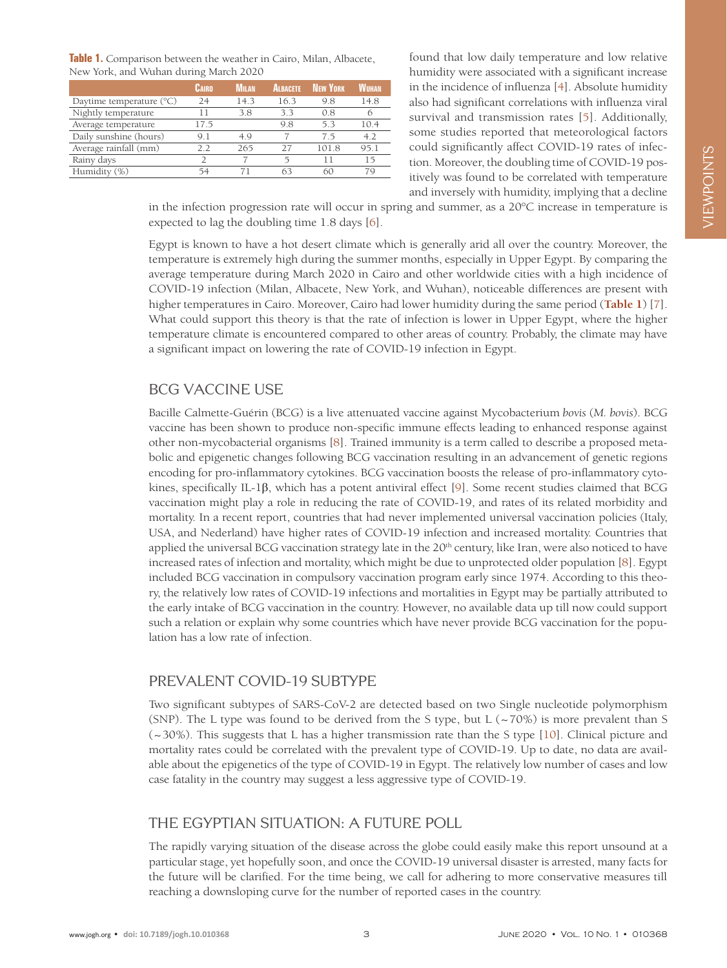<span id="page-2-0"></span>

| Table 1. Comparison between the weather in Cairo, Milan, Albacete, |  |
|--------------------------------------------------------------------|--|
| New York, and Wuhan during March 2020                              |  |

|                                   | Cairo | <b>M</b> <sub>II</sub> AN | <b>ALBACETE</b> | <b>NFW YORK</b> | WUHAN |
|-----------------------------------|-------|---------------------------|-----------------|-----------------|-------|
| Daytime temperature $(^{\circ}C)$ | 24    | 14.3                      | 16.3            | 9.8             | 14.8  |
| Nightly temperature               |       | 38                        | 33              | 08              |       |
| Average temperature               | 17.5  |                           | 98              | 53              | 10.4  |
| Daily sunshine (hours)            | 91    | 4 Q                       |                 | 75              | 4.2   |
| Average rainfall (mm)             | 2.2   | 265                       | 77              | 101.8           | 95.1  |
| Rainy days                        |       |                           | 5               |                 | 15    |
| Humidity (%)                      | 54    |                           | 63              | 60              | 79    |

found that low daily temperature and low relative humidity were associated with a significant increase in the incidence of influenza [\[4](#page-3-3)]. Absolute humidity also had significant correlations with influenza viral survival and transmission rates [[5](#page-3-4)]. Additionally, some studies reported that meteorological factors could significantly affect COVID-19 rates of infection. Moreover, the doubling time of COVID-19 positively was found to be correlated with temperature and inversely with humidity, implying that a decline

in the infection progression rate will occur in spring and summer, as a 20°C increase in temperature is expected to lag the doubling time 1.8 days [[6\]](#page-3-5).

Egypt is known to have a hot desert climate which is generally arid all over the country. Moreover, the temperature is extremely high during the summer months, especially in Upper Egypt. By comparing the average temperature during March 2020 in Cairo and other worldwide cities with a high incidence of COVID-19 infection (Milan, Albacete, New York, and Wuhan), noticeable differences are present with higher temperatures in Cairo. Moreover, Cairo had lower humidity during the same period (**[Table 1](#page-2-0)**) [[7\]](#page-3-6). What could support this theory is that the rate of infection is lower in Upper Egypt, where the higher temperature climate is encountered compared to other areas of country. Probably, the climate may have a significant impact on lowering the rate of COVID-19 infection in Egypt.

#### BCG VACCINE USE

Bacille Calmette-Guérin (BCG) is a live attenuated vaccine against Mycobacterium *bovis* (*M. bovis*). BCG vaccine has been shown to produce non-specific immune effects leading to enhanced response against other non-mycobacterial organisms [\[8\]](#page-3-7). Trained immunity is a term called to describe a proposed metabolic and epigenetic changes following BCG vaccination resulting in an advancement of genetic regions encoding for pro-inflammatory cytokines. BCG vaccination boosts the release of pro-inflammatory cytokines, specifically IL-1β, which has a potent antiviral effect [[9](#page-3-8)]. Some recent studies claimed that BCG vaccination might play a role in reducing the rate of COVID-19, and rates of its related morbidity and mortality. In a recent report, countries that had never implemented universal vaccination policies (Italy, USA, and Nederland) have higher rates of COVID-19 infection and increased mortality. Countries that applied the universal BCG vaccination strategy late in the 20<sup>th</sup> century, like Iran, were also noticed to have increased rates of infection and mortality, which might be due to unprotected older population [[8](#page-3-7)]. Egypt included BCG vaccination in compulsory vaccination program early since 1974. According to this theory, the relatively low rates of COVID-19 infections and mortalities in Egypt may be partially attributed to the early intake of BCG vaccination in the country. However, no available data up till now could support such a relation or explain why some countries which have never provide BCG vaccination for the population has a low rate of infection.

#### PREVALENT COVID-19 SUBTYPE

Two significant subtypes of SARS-CoV-2 are detected based on two Single nucleotide polymorphism (SNP). The L type was found to be derived from the S type, but L  $\left(\sim 70\% \right)$  is more prevalent than S (~30%). This suggests that L has a higher transmission rate than the S type [\[10\]](#page-3-9). Clinical picture and mortality rates could be correlated with the prevalent type of COVID-19. Up to date, no data are available about the epigenetics of the type of COVID-19 in Egypt. The relatively low number of cases and low case fatality in the country may suggest a less aggressive type of COVID-19.

# THE EGYPTIAN SITUATION: A FUTURE POLL

The rapidly varying situation of the disease across the globe could easily make this report unsound at a particular stage, yet hopefully soon, and once the COVID-19 universal disaster is arrested, many facts for the future will be clarified. For the time being, we call for adhering to more conservative measures till reaching a downsloping curve for the number of reported cases in the country.